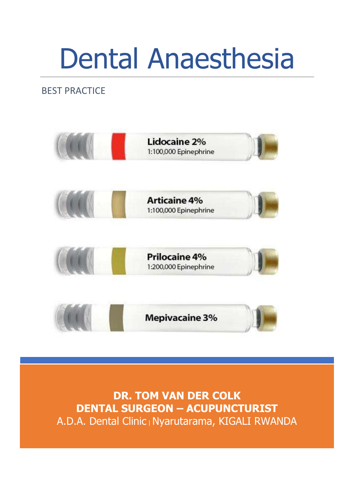## BEST PRACTICE



**DR. TOM VAN DER COLK DENTAL SURGEON – ACUPUNCTURIST** A.D.A. Dental Clinic | Nyarutarama, KIGALI RWANDA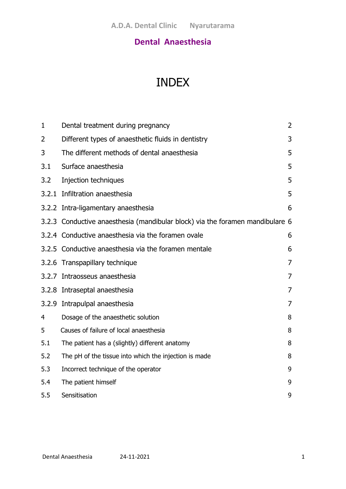## INDEX

| 1     | Dental treatment during pregnancy                                             | $\overline{2}$ |
|-------|-------------------------------------------------------------------------------|----------------|
| 2     | Different types of anaesthetic fluids in dentistry                            | 3              |
| 3     | The different methods of dental anaesthesia                                   | 5              |
| 3.1   | Surface anaesthesia                                                           | 5              |
| 3.2   | Injection techniques                                                          | 5              |
|       | 3.2.1 Infiltration anaesthesia                                                | 5              |
|       | 3.2.2 Intra-ligamentary anaesthesia                                           | 6              |
|       | 3.2.3 Conductive anaesthesia (mandibular block) via the foramen mandibulare 6 |                |
|       | 3.2.4 Conductive anaesthesia via the foramen ovale                            | 6              |
|       | 3.2.5 Conductive anaesthesia via the foramen mentale                          | 6              |
| 3.2.6 | Transpapillary technique                                                      | 7              |
|       | 3.2.7 Intraosseus anaesthesia                                                 | 7              |
|       | 3.2.8 Intraseptal anaesthesia                                                 | 7              |
|       | 3.2.9 Intrapulpal anaesthesia                                                 | 7              |
| 4     | Dosage of the anaesthetic solution                                            | 8              |
| 5     | Causes of failure of local anaesthesia                                        | 8              |
| 5.1   | The patient has a (slightly) different anatomy                                | 8              |
| 5.2   | The pH of the tissue into which the injection is made                         | 8              |
| 5.3   | Incorrect technique of the operator                                           | 9              |
| 5.4   | The patient himself                                                           | 9              |
| 5.5   | Sensitisation                                                                 | 9              |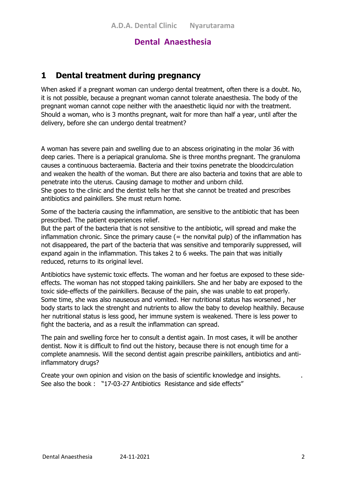## **1 Dental treatment during pregnancy**

When asked if a pregnant woman can undergo dental treatment, often there is a doubt. No, it is not possible, because a pregnant woman cannot tolerate anaesthesia. The body of the pregnant woman cannot cope neither with the anaesthetic liquid nor with the treatment. Should a woman, who is 3 months pregnant, wait for more than half a year, until after the delivery, before she can undergo dental treatment?

A woman has severe pain and swelling due to an abscess originating in the molar 36 with deep caries. There is a periapical granuloma. She is three months pregnant. The granuloma causes a continuous bacteraemia. Bacteria and their toxins penetrate the bloodcirculation and weaken the health of the woman. But there are also bacteria and toxins that are able to penetrate into the uterus. Causing damage to mother and unborn child. She goes to the clinic and the dentist tells her that she cannot be treated and prescribes antibiotics and painkillers. She must return home.

Some of the bacteria causing the inflammation, are sensitive to the antibiotic that has been prescribed. The patient experiences relief.

But the part of the bacteria that is not sensitive to the antibiotic, will spread and make the inflammation chronic. Since the primary cause  $($  = the nonvital pulp) of the inflammation has not disappeared, the part of the bacteria that was sensitive and temporarily suppressed, will expand again in the inflammation. This takes 2 to 6 weeks. The pain that was initially reduced, returns to its original level.

Antibiotics have systemic toxic effects. The woman and her foetus are exposed to these sideeffects. The woman has not stopped taking painkillers. She and her baby are exposed to the toxic side-effects of the painkillers. Because of the pain, she was unable to eat properly. Some time, she was also nauseous and vomited. Her nutritional status has worsened , her body starts to lack the strenght and nutrients to allow the baby to develop healthily. Because her nutritional status is less good, her immune system is weakened. There is less power to fight the bacteria, and as a result the inflammation can spread.

The pain and swelling force her to consult a dentist again. In most cases, it will be another dentist. Now it is difficult to find out the history, because there is not enough time for a complete anamnesis. Will the second dentist again prescribe painkillers, antibiotics and antiinflammatory drugs?

Create your own opinion and vision on the basis of scientific knowledge and insights. . See also the book : "17-03-27 Antibiotics Resistance and side effects"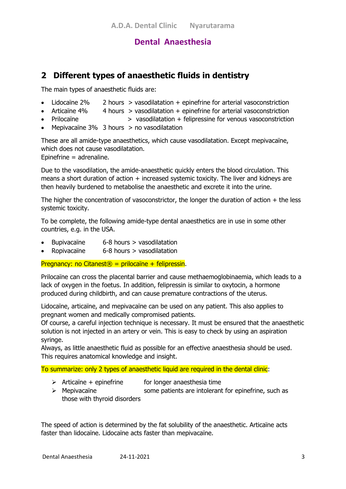## **2 Different types of anaesthetic fluids in dentistry**

The main types of anaesthetic fluids are:

- Lidocaïne  $2\%$  2 hours  $>$  vasodilatation + epinefrine for arterial vasoconstriction
- Articaïne 4% 4 hours > vasodilatation + epinefrine for arterial vasoconstriction
- Prilocaïne > vasodilatation + felipressine for venous vasoconstriction
- Mepivacaïne 3% 3 hours  $>$  no vasodilatation

These are all amide-type anaesthetics, which cause vasodilatation. Except mepivacaïne, which does not cause vasodilatation. Epinefrine = adrenaline.

Due to the vasodilation, the amide-anaesthetic quickly enters the blood circulation. This means a short duration of action  $+$  increased systemic toxicity. The liver and kidneys are then heavily burdened to metabolise the anaesthetic and excrete it into the urine.

The higher the concentration of vasoconstrictor, the longer the duration of action  $+$  the less systemic toxicity.

To be complete, the following amide-type dental anaesthetics are in use in some other countries, e.g. in the USA.

- Bupivacaïne 6-8 hours > vasodilatation
- Ropivacaïne 6-8 hours > vasodilatation

Pregnancy: no Citanest<sup>®</sup> = prilocaïne + felipressin.

Prilocaïne can cross the placental barrier and cause methaemoglobinaemia, which leads to a lack of oxygen in the foetus. In addition, felipressin is similar to oxytocin, a hormone produced during childbirth, and can cause premature contractions of the uterus.

Lidocaïne, articaïne, and mepivacaïne can be used on any patient. This also applies to pregnant women and medically compromised patients.

Of course, a careful injection technique is necessary. It must be ensured that the anaesthetic solution is not injected in an artery or vein. This is easy to check by using an aspiration syringe.

Always, as little anaesthetic fluid as possible for an effective anaesthesia should be used. This requires anatomical knowledge and insight.

To summarize: only 2 types of anaesthetic liquid are required in the dental clinic:

- $\triangleright$  Articaïne + epinefrine for longer anaesthesia time
- $\triangleright$  Mepivacaïne some patients are intolerant for epinefrine, such as those with thyroid disorders

The speed of action is determined by the fat solubility of the anaesthetic. Articaïne acts faster than lidocaïne. Lidocaïne acts faster than mepivacaïne.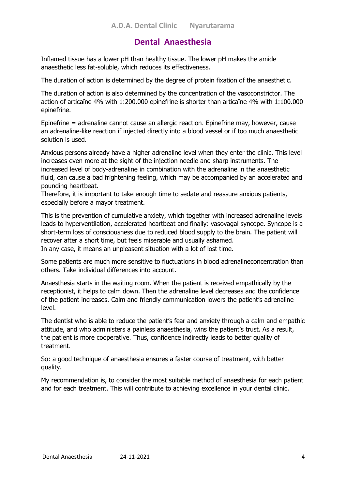Inflamed tissue has a lower pH than healthy tissue. The lower pH makes the amide anaesthetic less fat-soluble, which reduces its effectiveness.

The duration of action is determined by the degree of protein fixation of the anaesthetic.

The duration of action is also determined by the concentration of the vasoconstrictor. The action of articaïne 4% with 1:200.000 epinefrine is shorter than articaïne 4% with 1:100.000 epinefrine.

Epinefrine = adrenaline cannot cause an allergic reaction. Epinefrine may, however, cause an adrenaline-like reaction if injected directly into a blood vessel or if too much anaesthetic solution is used.

Anxious persons already have a higher adrenaline level when they enter the clinic. This level increases even more at the sight of the injection needle and sharp instruments. The increased level of body-adrenaline in combination with the adrenaline in the anaesthetic fluid, can cause a bad frightening feeling, which may be accompanied by an accelerated and pounding heartbeat.

Therefore, it is important to take enough time to sedate and reassure anxious patients, especially before a mayor treatment.

This is the prevention of cumulative anxiety, which together with increased adrenaline levels leads to hyperventilation, accelerated heartbeat and finally: vasovagal syncope. Syncope is a short-term loss of consciousness due to reduced blood supply to the brain. The patient will recover after a short time, but feels miserable and usually ashamed. In any case, it means an unpleasent situation with a lot of lost time.

Some patients are much more sensitive to fluctuations in blood adrenalineconcentration than others. Take individual differences into account.

Anaesthesia starts in the waiting room. When the patient is received empathically by the receptionist, it helps to calm down. Then the adrenaline level decreases and the confidence of the patient increases. Calm and friendly communication lowers the patient's adrenaline level.

The dentist who is able to reduce the patient's fear and anxiety through a calm and empathic attitude, and who administers a painless anaesthesia, wins the patient's trust. As a result, the patient is more cooperative. Thus, confidence indirectly leads to better quality of treatment.

So: a good technique of anaesthesia ensures a faster course of treatment, with better quality.

My recommendation is, to consider the most suitable method of anaesthesia for each patient and for each treatment. This will contribute to achieving excellence in your dental clinic.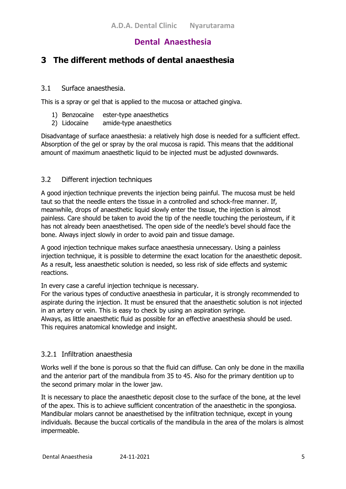## **3 The different methods of dental anaesthesia**

#### 3.1 Surface anaesthesia.

This is a spray or gel that is applied to the mucosa or attached gingiva.

- 1) Benzocaïne ester-type anaesthetics
- 2) Lidocaïne amide-type anaesthetics

Disadvantage of surface anaesthesia: a relatively high dose is needed for a sufficient effect. Absorption of the gel or spray by the oral mucosa is rapid. This means that the additional amount of maximum anaesthetic liquid to be injected must be adjusted downwards.

#### 3.2 Different injection techniques

A good injection technique prevents the injection being painful. The mucosa must be held taut so that the needle enters the tissue in a controlled and schock-free manner. If, meanwhile, drops of anaesthetic liquid slowly enter the tissue, the injection is almost painless. Care should be taken to avoid the tip of the needle touching the periosteum, if it has not already been anaesthetised. The open side of the needle's bevel should face the bone. Always inject slowly in order to avoid pain and tissue damage.

A good injection technique makes surface anaesthesia unnecessary. Using a painless injection technique, it is possible to determine the exact location for the anaesthetic deposit. As a result, less anaesthetic solution is needed, so less risk of side effects and systemic reactions.

In every case a careful injection technique is necessary.

For the various types of conductive anaesthesia in particular, it is strongly recommended to aspirate during the injection. It must be ensured that the anaesthetic solution is not injected in an artery or vein. This is easy to check by using an aspiration syringe.

Always, as little anaesthetic fluid as possible for an effective anaesthesia should be used. This requires anatomical knowledge and insight.

#### 3.2.1 Infiltration anaesthesia

Works well if the bone is porous so that the fluid can diffuse. Can only be done in the maxilla and the anterior part of the mandibula from 35 to 45. Also for the primary dentition up to the second primary molar in the lower jaw.

It is necessary to place the anaesthetic deposit close to the surface of the bone, at the level of the apex. This is to achieve sufficient concentration of the anaesthetic in the spongiosa. Mandibular molars cannot be anaesthetised by the infiltration technique, except in young individuals. Because the buccal corticalis of the mandibula in the area of the molars is almost impermeable.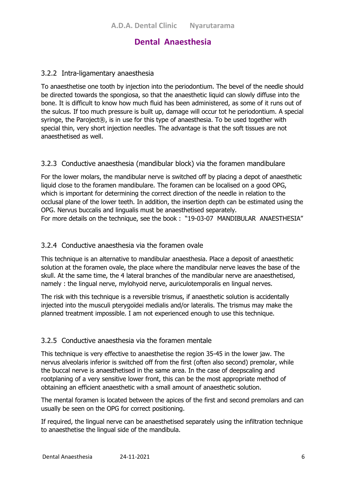#### 3.2.2 Intra-ligamentary anaesthesia

To anaesthetise one tooth by injection into the periodontium. The bevel of the needle should be directed towards the spongiosa, so that the anaesthetic liquid can slowly diffuse into the bone. It is difficult to know how much fluid has been administered, as some of it runs out of the sulcus. If too much pressure is built up, damage will occur tot he periodontium. A special syringe, the Paroject®, is in use for this type of anaesthesia. To be used together with special thin, very short injection needles. The advantage is that the soft tissues are not anaesthetised as well.

#### 3.2.3 Conductive anaesthesia (mandibular block) via the foramen mandibulare

For the lower molars, the mandibular nerve is switched off by placing a depot of anaesthetic liquid close to the foramen mandibulare. The foramen can be localised on a good OPG, which is important for determining the correct direction of the needle in relation to the occlusal plane of the lower teeth. In addition, the insertion depth can be estimated using the OPG. Nervus buccalis and lingualis must be anaesthetised separately. For more details on the technique, see the book : "19-03-07 MANDIBULAR ANAESTHESIA"

#### 3.2.4 Conductive anaesthesia via the foramen ovale

This technique is an alternative to mandibular anaesthesia. Place a deposit of anaesthetic solution at the foramen ovale, the place where the mandibular nerve leaves the base of the skull. At the same time, the 4 lateral branches of the mandibular nerve are anaesthetised, namely : the lingual nerve, mylohyoid nerve, auriculotemporalis en lingual nerves.

The risk with this technique is a reversible trismus, if anaesthetic solution is accidentally injected into the musculi pterygoïdei medialis and/or lateralis. The trismus may make the planned treatment impossible. I am not experienced enough to use this technique.

#### 3.2.5 Conductive anaesthesia via the foramen mentale

This technique is very effective to anaesthetise the region 35-45 in the lower jaw. The nervus alveolaris inferior is switched off from the first (often also second) premolar, while the buccal nerve is anaesthetised in the same area. In the case of deepscaling and rootplaning of a very sensitive lower front, this can be the most appropriate method of obtaining an efficient anaesthetic with a small amount of anaesthetic solution.

The mental foramen is located between the apices of the first and second premolars and can usually be seen on the OPG for correct positioning.

If required, the lingual nerve can be anaesthetised separately using the infiltration technique to anaesthetise the lingual side of the mandibula.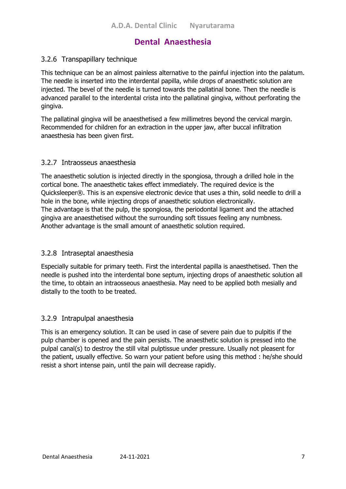#### 3.2.6 Transpapillary technique

This technique can be an almost painless alternative to the painful injection into the palatum. The needle is inserted into the interdental papilla, while drops of anaesthetic solution are injected. The bevel of the needle is turned towards the pallatinal bone. Then the needle is advanced parallel to the interdental crista into the pallatinal gingiva, without perforating the gingiva.

The pallatinal gingiva will be anaesthetised a few millimetres beyond the cervical margin. Recommended for children for an extraction in the upper jaw, after buccal infiltration anaesthesia has been given first.

#### 3.2.7 Intraosseus anaesthesia

The anaesthetic solution is injected directly in the spongiosa, through a drilled hole in the cortical bone. The anaesthetic takes effect immediately. The required device is the Quicksleeper®. This is an expensive electronic device that uses a thin, solid needle to drill a hole in the bone, while injecting drops of anaesthetic solution electronically. The advantage is that the pulp, the spongiosa, the periodontal ligament and the attached gingiva are anaesthetised without the surrounding soft tissues feeling any numbness. Another advantage is the small amount of anaesthetic solution required.

#### 3.2.8 Intraseptal anaesthesia

Especially suitable for primary teeth. First the interdental papilla is anaesthetised. Then the needle is pushed into the interdental bone septum, injecting drops of anaesthetic solution all the time, to obtain an intraosseous anaesthesia. May need to be applied both mesially and distally to the tooth to be treated.

#### 3.2.9 Intrapulpal anaesthesia

This is an emergency solution. It can be used in case of severe pain due to pulpitis if the pulp chamber is opened and the pain persists. The anaesthetic solution is pressed into the pulpal canal(s) to destroy the still vital pulptissue under pressure. Usually not pleasent for the patient, usually effective. So warn your patient before using this method : he/she should resist a short intense pain, until the pain will decrease rapidly.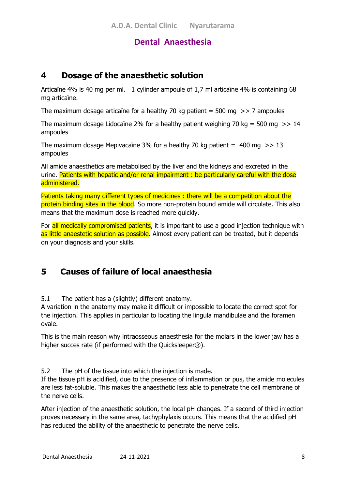## **4 Dosage of the anaesthetic solution**

Articaïne 4% is 40 mg per ml. 1 cylinder ampoule of 1,7 ml articaïne 4% is containing 68 mg articaïne.

The maximum dosage articaïne for a healthy 70 kg patient = 500 mg  $\gg$  7 ampoules

The maximum dosage Lidocaïne 2% for a healthy patient weighing 70 kg = 500 mg  $\gg$  14 ampoules

The maximum dosage Mepivacaïne 3% for a healthy 70 kg patient  $=$  400 mg  $\gg$  13 ampoules

All amide anaesthetics are metabolised by the liver and the kidneys and excreted in the urine. Patients with hepatic and/or renal impairment : be particularly careful with the dose administered.

Patients taking many different types of medicines : there will be a competition about the protein binding sites in the blood. So more non-protein bound amide will circulate. This also means that the maximum dose is reached more quickly.

For all medically compromised patients, it is important to use a good injection technique with as little anaestetic solution as possible. Almost every patient can be treated, but it depends on your diagnosis and your skills.

## **5 Causes of failure of local anaesthesia**

5.1 The patient has a (slightly) different anatomy.

A variation in the anatomy may make it difficult or impossible to locate the correct spot for the injection. This applies in particular to locating the lingula mandibulae and the foramen ovale.

This is the main reason why intraosseous anaesthesia for the molars in the lower jaw has a higher succes rate (if performed with the Quicksleeper®).

5.2 The pH of the tissue into which the injection is made.

If the tissue pH is acidified, due to the presence of inflammation or pus, the amide molecules are less fat-soluble. This makes the anaesthetic less able to penetrate the cell membrane of the nerve cells.

After injection of the anaesthetic solution, the local pH changes. If a second of third injection proves necessary in the same area, tachyphylaxis occurs. This means that the acidified pH has reduced the ability of the anaesthetic to penetrate the nerve cells.